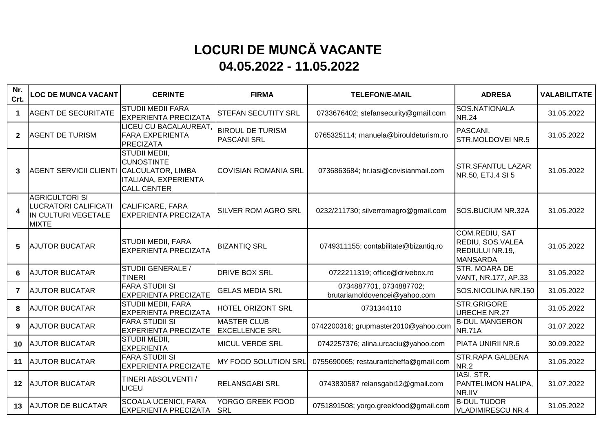## **LOCURI DE MUNCĂ VACANTE 04.05.2022 - 11.05.2022**

| Nr.<br>Crt.             | <b>LOC DE MUNCA VACANT</b>                                                                  | <b>CERINTE</b>                                                                                                      | <b>FIRMA</b>                                  | <b>TELEFON/E-MAIL</b>                                    | <b>ADRESA</b>                                                                   | <b>VALABILITATE</b> |
|-------------------------|---------------------------------------------------------------------------------------------|---------------------------------------------------------------------------------------------------------------------|-----------------------------------------------|----------------------------------------------------------|---------------------------------------------------------------------------------|---------------------|
| $\blacktriangleleft$    | <b>AGENT DE SECURITATE</b>                                                                  | <b>STUDII MEDII FARA</b><br><b>EXPERIENTA PRECIZATA</b>                                                             | STEFAN SECUTITY SRL                           | 0733676402; stefansecurity@gmail.com                     | SOS.NATIONALA<br><b>NR.24</b>                                                   | 31.05.2022          |
| $\mathbf{2}$            | <b>AGENT DE TURISM</b>                                                                      | LICEU CU BACALAUREAT,<br><b>FARA EXPERIENTA</b><br><b>PRECIZATA</b>                                                 | <b>BIROUL DE TURISM</b><br><b>PASCANI SRL</b> | 0765325114; manuela@birouldeturism.ro                    | PASCANI,<br>STR.MOLDOVEI NR.5                                                   | 31.05.2022          |
| $\mathbf{3}$            | <b>AGENT SERVICII CLIENTI</b>                                                               | STUDII MEDII,<br><b>CUNOSTINTE</b><br><b>CALCULATOR, LIMBA</b><br><b>ITALIANA, EXPERIENTA</b><br><b>CALL CENTER</b> | <b>COVISIAN ROMANIA SRL</b>                   | 0736863684; hr.iasi@covisianmail.com                     | <b>STR.SFANTUL LAZAR</b><br>NR.50, ETJ.4 SI 5                                   | 31.05.2022          |
| $\overline{\mathbf{4}}$ | <b>AGRICULTORI SI</b><br><b>LUCRATORI CALIFICATI</b><br>IN CULTURI VEGETALE<br><b>MIXTE</b> | CALIFICARE, FARA<br><b>EXPERIENTA PRECIZATA</b>                                                                     | SILVER ROM AGRO SRL                           | 0232/211730; silverromagro@gmail.com                     | SOS.BUCIUM NR.32A                                                               | 31.05.2022          |
| 5                       | <b>AJUTOR BUCATAR</b>                                                                       | STUDII MEDII, FARA<br><b>EXPERIENTA PRECIZATA</b>                                                                   | <b>BIZANTIQ SRL</b>                           | 0749311155; contabilitate@bizantiq.ro                    | COM.REDIU, SAT<br>REDIU, SOS.VALEA<br><b>REDIULUI NR.19,</b><br><b>MANSARDA</b> | 31.05.2022          |
| 6                       | <b>AJUTOR BUCATAR</b>                                                                       | STUDII GENERALE /<br><b>TINERI</b>                                                                                  | <b>DRIVE BOX SRL</b>                          | 0722211319; office@drivebox.ro                           | STR. MOARA DE<br>VANT, NR.177, AP.33                                            | 31.05.2022          |
| $\overline{7}$          | <b>AJUTOR BUCATAR</b>                                                                       | <b>FARA STUDII SI</b><br><b>EXPERIENTA PRECIZATE</b>                                                                | <b>GELAS MEDIA SRL</b>                        | 0734887701, 0734887702;<br>brutariamoldovencei@yahoo.com | SOS.NICOLINA NR.150                                                             | 31.05.2022          |
| 8                       | <b>AJUTOR BUCATAR</b>                                                                       | <b>STUDII MEDII, FARA</b><br><b>EXPERIENTA PRECIZATA</b>                                                            | HOTEL ORIZONT SRL                             | 0731344110                                               | STR.GRIGORE<br><b>URECHE NR.27</b>                                              | 31.05.2022          |
| 9                       | <b>AJUTOR BUCATAR</b>                                                                       | <b>FARA STUDII SI</b><br><b>EXPERIENTA PRECIZATE</b>                                                                | <b>MASTER CLUB</b><br><b>EXCELLENCE SRL</b>   | 0742200316; grupmaster2010@yahoo.com                     | <b>B-DUL MANGERON</b><br><b>NR.71A</b>                                          | 31.07.2022          |
| 10                      | <b>AJUTOR BUCATAR</b>                                                                       | STUDII MEDII,<br><b>EXPERIENTA</b>                                                                                  | <b>MICUL VERDE SRL</b>                        | 0742257376; alina.urcaciu@yahoo.com                      | PIATA UNIRII NR.6                                                               | 30.09.2022          |
| 11                      | <b>AJUTOR BUCATAR</b>                                                                       | <b>FARA STUDII SI</b><br><b>EXPERIENTA PRECIZATE</b>                                                                | MY FOOD SOLUTION SRL                          | 0755690065; restaurantcheffa@gmail.com                   | <b>STR.RAPA GALBENA</b><br><b>NR.2</b>                                          | 31.05.2022          |
| $12 \,$                 | <b>AJUTOR BUCATAR</b>                                                                       | TINERI ABSOLVENTI /<br>LICEU                                                                                        | <b>RELANSGABI SRL</b>                         | 0743830587 relansgabi12@gmail.com                        | IASI, STR.<br><b>PANTELIMON HALIPA,</b><br>NR.IIV                               | 31.07.2022          |
| 13 <sup>7</sup>         | <b>AJUTOR DE BUCATAR</b>                                                                    | <b>SCOALA UCENICI, FARA</b><br><b>EXPERIENTA PRECIZATA</b>                                                          | <b>YORGO GREEK FOOD</b><br><b>SRL</b>         | 0751891508; yorgo.greekfood@gmail.com                    | <b>B-DUL TUDOR</b><br><b>VLADIMIRESCU NR.4</b>                                  | 31.05.2022          |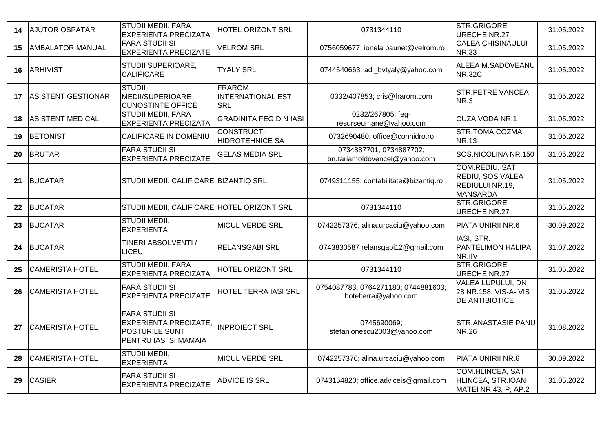| 14 | <b>AJUTOR OSPATAR</b>     | <b>STUDII MEDII, FARA</b><br><b>EXPERIENTA PRECIZATA</b>                                                | HOTEL ORIZONT SRL                                       | 0731344110                                                  | STR.GRIGORE<br><b>URECHE NR.27</b>                                         | 31.05.2022 |
|----|---------------------------|---------------------------------------------------------------------------------------------------------|---------------------------------------------------------|-------------------------------------------------------------|----------------------------------------------------------------------------|------------|
| 15 | <b>AMBALATOR MANUAL</b>   | <b>FARA STUDII SI</b><br><b>EXPERIENTA PRECIZATE</b>                                                    | <b>VELROM SRL</b>                                       | 0756059677; ionela paunet@velrom.ro                         | <b>CALEA CHISINAULUI</b><br><b>NR.33</b>                                   | 31.05.2022 |
| 16 | <b>ARHIVIST</b>           | STUDII SUPERIOARE,<br><b>CALIFICARE</b>                                                                 | <b>TYALY SRL</b>                                        | 0744540663; adi_bvtyaly@yahoo.com                           | ALEEA M.SADOVEANU<br><b>NR.32C</b>                                         | 31.05.2022 |
| 17 | <b>ASISTENT GESTIONAR</b> | <b>STUDII</b><br>MEDII/SUPERIOARE<br><b>CUNOSTINTE OFFICE</b>                                           | <b>FRAROM</b><br><b>INTERNATIONAL EST</b><br><b>SRL</b> | 0332/407853; cris@frarom.com                                | <b>STR.PETRE VANCEA</b><br>NR.3                                            | 31.05.2022 |
| 18 | <b>ASISTENT MEDICAL</b>   | <b>STUDII MEDII, FARA</b><br><b>EXPERIENTA PRECIZATA</b>                                                | <b>GRADINITA FEG DIN IASI</b>                           | 0232/267805; feg-<br>resurseumane@yahoo.com                 | CUZA VODA NR.1                                                             | 31.05.2022 |
| 19 | <b>BETONIST</b>           | CALIFICARE IN DOMENIU                                                                                   | <b>CONSTRUCTII</b><br><b>HIDROTEHNICE SA</b>            | 0732690480; office@conhidro.ro                              | <b>STR.TOMA COZMA</b><br><b>NR.13</b>                                      | 31.05.2022 |
| 20 | <b>BRUTAR</b>             | <b>FARA STUDII SI</b><br><b>EXPERIENTA PRECIZATE</b>                                                    | <b>GELAS MEDIA SRL</b>                                  | 0734887701, 0734887702;<br>brutariamoldovencei@yahoo.com    | SOS.NICOLINA NR.150                                                        | 31.05.2022 |
| 21 | <b>BUCATAR</b>            | STUDII MEDII, CALIFICARE BIZANTIQ SRL                                                                   |                                                         | 0749311155; contabilitate@bizantiq.ro                       | COM.REDIU, SAT<br>REDIU, SOS.VALEA<br>REDIULUI NR.19,<br><b>MANSARDA</b>   | 31.05.2022 |
| 22 | <b>BUCATAR</b>            | STUDII MEDII, CALIFICARE HOTEL ORIZONT SRL                                                              |                                                         | 0731344110                                                  | STR.GRIGORE<br>URECHE NR.27                                                | 31.05.2022 |
| 23 | <b>BUCATAR</b>            | STUDII MEDII,<br><b>EXPERIENTA</b>                                                                      | <b>MICUL VERDE SRL</b>                                  | 0742257376; alina.urcaciu@yahoo.com                         | PIATA UNIRII NR.6                                                          | 30.09.2022 |
| 24 | <b>BUCATAR</b>            | TINERI ABSOLVENTI /<br>LICEU                                                                            | <b>RELANSGABI SRL</b>                                   | 0743830587 relansgabi12@gmail.com                           | IASI, STR.<br>PANTELIMON HALIPA,<br>NR.IIV                                 | 31.07.2022 |
| 25 | <b>CAMERISTA HOTEL</b>    | <b>STUDII MEDII, FARA</b><br><b>EXPERIENTA PRECIZATA</b>                                                | <b>HOTEL ORIZONT SRL</b>                                | 0731344110                                                  | STR.GRIGORE<br><b>URECHE NR.27</b>                                         | 31.05.2022 |
| 26 | <b>CAMERISTA HOTEL</b>    | <b>FARA STUDII SI</b><br><b>EXPERIENTA PRECIZATE</b>                                                    | HOTEL TERRA IASI SRL                                    | 0754087783; 0764271180; 0744881603;<br>hotelterra@yahoo.com | <b>VALEA LUPULUI, DN</b><br>28 NR.158, VIS-A- VIS<br><b>DE ANTIBIOTICE</b> | 31.05.2022 |
| 27 | <b>CAMERISTA HOTEL</b>    | <b>FARA STUDII SI</b><br><b>EXPERIENTA PRECIZATE,</b><br><b>POSTURILE SUNT</b><br>PENTRU IASI SI MAMAIA | <b>INPROIECT SRL</b>                                    | 0745690069;<br>stefanionescu2003@yahoo.com                  | <b>STR.ANASTASIE PANU</b><br><b>NR.26</b>                                  | 31.08.2022 |
| 28 | <b>CAMERISTA HOTEL</b>    | <b>STUDII MEDII,</b><br><b>EXPERIENTA</b>                                                               | <b>MICUL VERDE SRL</b>                                  | 0742257376; alina.urcaciu@yahoo.com                         | PIATA UNIRII NR.6                                                          | 30.09.2022 |
| 29 | <b>CASIER</b>             | <b>FARA STUDII SI</b><br><b>EXPERIENTA PRECIZATE</b>                                                    | <b>ADVICE IS SRL</b>                                    | 0743154820; office.adviceis@gmail.com                       | <b>COM.HLINCEA, SAT</b><br>HLINCEA, STR.IOAN<br>MATEI NR.43, P, AP.2       | 31.05.2022 |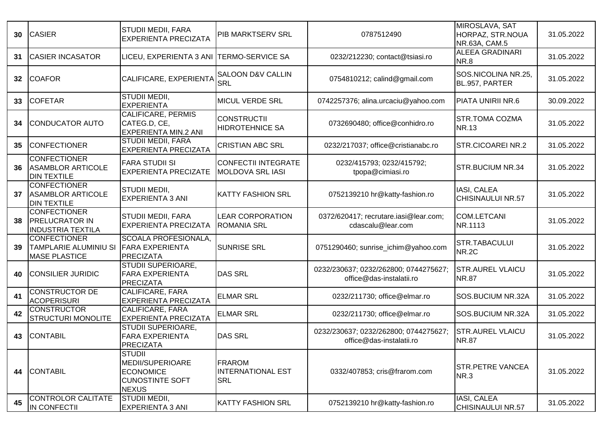| 30 | <b>CASIER</b>                                                            | <b>STUDII MEDII, FARA</b><br><b>EXPERIENTA PRECIZATA</b>                                        | PIB MARKTSERV SRL                                       | 0787512490                                                        | MIROSLAVA, SAT<br>HORPAZ, STR.NOUA<br>NR.63A, CAM.5 | 31.05.2022 |
|----|--------------------------------------------------------------------------|-------------------------------------------------------------------------------------------------|---------------------------------------------------------|-------------------------------------------------------------------|-----------------------------------------------------|------------|
| 31 | <b>CASIER INCASATOR</b>                                                  | LICEU, EXPERIENTA 3 ANI TERMO-SERVICE SA                                                        |                                                         | 0232/212230; contact@tsiasi.ro                                    | <b>ALEEA GRADINARI</b><br>NR.8                      | 31.05.2022 |
| 32 | <b>COAFOR</b>                                                            | CALIFICARE, EXPERIENTA                                                                          | <b>SALOON D&amp;V CALLIN</b><br><b>SRL</b>              | 0754810212; calind@gmail.com                                      | SOS.NICOLINA NR.25,<br>BL.957, PARTER               | 31.05.2022 |
| 33 | <b>COFETAR</b>                                                           | STUDII MEDII,<br><b>EXPERIENTA</b>                                                              | <b>MICUL VERDE SRL</b>                                  | 0742257376; alina.urcaciu@yahoo.com                               | PIATA UNIRII NR.6                                   | 30.09.2022 |
| 34 | <b>CONDUCATOR AUTO</b>                                                   | <b>CALIFICARE, PERMIS</b><br>CATEG.D, CE,<br><b>EXPERIENTA MIN.2 ANI</b>                        | <b>CONSTRUCTII</b><br><b>HIDROTEHNICE SA</b>            | 0732690480; office@conhidro.ro                                    | <b>STR.TOMA COZMA</b><br><b>NR.13</b>               | 31.05.2022 |
| 35 | <b>CONFECTIONER</b>                                                      | <b>STUDII MEDII, FARA</b><br><b>EXPERIENTA PRECIZATA</b>                                        | <b>CRISTIAN ABC SRL</b>                                 | 0232/217037; office@cristianabc.ro                                | <b>STR.CICOAREI NR.2</b>                            | 31.05.2022 |
| 36 | <b>CONFECTIONER</b><br><b>ASAMBLOR ARTICOLE</b><br><b>DIN TEXTILE</b>    | <b>FARA STUDII SI</b><br><b>EXPERIENTA PRECIZATE</b>                                            | CONFECTII INTEGRATE<br><b>MOLDOVA SRL IASI</b>          | 0232/415793; 0232/415792;<br>tpopa@cimiasi.ro                     | <b>STR.BUCIUM NR.34</b>                             | 31.05.2022 |
| 37 | <b>CONFECTIONER</b><br><b>ASAMBLOR ARTICOLE</b><br><b>DIN TEXTILE</b>    | STUDII MEDII,<br><b>EXPERIENTA 3 ANI</b>                                                        | <b>KATTY FASHION SRL</b>                                | 0752139210 hr@katty-fashion.ro                                    | IASI, CALEA<br><b>CHISINAULUI NR.57</b>             | 31.05.2022 |
| 38 | <b>CONFECTIONER</b><br><b>PRELUCRATOR IN</b><br><b>INDUSTRIA TEXTILA</b> | <b>STUDII MEDII, FARA</b><br><b>EXPERIENTA PRECIZATA</b>                                        | <b>LEAR CORPORATION</b><br><b>ROMANIA SRL</b>           | 0372/620417; recrutare.iasi@lear.com;<br>cdascalu@lear.com        | <b>COM.LETCANI</b><br>NR.1113                       | 31.05.2022 |
| 39 | <b>CONFECTIONER</b><br>TAMPLARIE ALUMINIU SI<br><b>MASE PLASTICE</b>     | SCOALA PROFESIONALA,<br><b>FARA EXPERIENTA</b><br><b>PRECIZATA</b>                              | <b>SUNRISE SRL</b>                                      | 0751290460; sunrise_ichim@yahoo.com                               | <b>STR.TABACULUI</b><br>NR.2C                       | 31.05.2022 |
| 40 | <b>CONSILIER JURIDIC</b>                                                 | <b>STUDII SUPERIOARE,</b><br><b>FARA EXPERIENTA</b><br><b>PRECIZATA</b>                         | <b>DAS SRL</b>                                          | 0232/230637; 0232/262800; 0744275627;<br>office@das-instalatii.ro | <b>STR.AUREL VLAICU</b><br><b>NR.87</b>             | 31.05.2022 |
| 41 | <b>CONSTRUCTOR DE</b><br>ACOPERISURI                                     | CALIFICARE, FARA<br><b>EXPERIENTA PRECIZATA</b>                                                 | <b>ELMAR SRL</b>                                        | 0232/211730; office@elmar.ro                                      | SOS.BUCIUM NR.32A                                   | 31.05.2022 |
| 42 | <b>CONSTRUCTOR</b><br><b>STRUCTURI MONOLITE</b>                          | <b>CALIFICARE, FARA</b><br><b>EXPERIENTA PRECIZATA</b>                                          | <b>ELMAR SRL</b>                                        | 0232/211730; office@elmar.ro                                      | SOS.BUCIUM NR.32A                                   | 31.05.2022 |
| 43 | <b>CONTABIL</b>                                                          | <b>STUDII SUPERIOARE,</b><br><b>FARA EXPERIENTA</b><br>PRECIZATA                                | <b>DAS SRL</b>                                          | 0232/230637; 0232/262800; 0744275627;<br>office@das-instalatii.ro | <b>STR.AUREL VLAICU</b><br><b>NR.87</b>             | 31.05.2022 |
| 44 | <b>CONTABIL</b>                                                          | <b>STUDII</b><br>MEDII/SUPERIOARE<br><b>ECONOMICE</b><br><b>CUNOSTINTE SOFT</b><br><b>NEXUS</b> | <b>FRAROM</b><br><b>INTERNATIONAL EST</b><br><b>SRL</b> | 0332/407853; cris@frarom.com                                      | <b>STR.PETRE VANCEA</b><br>NR.3                     | 31.05.2022 |
| 45 | <b>CONTROLOR CALITATE</b><br>IN CONFECTII                                | STUDII MEDII,<br>EXPERIENTA 3 ANI                                                               | <b>KATTY FASHION SRL</b>                                | 0752139210 hr@katty-fashion.ro                                    | IASI, CALEA<br>CHISINAULUI NR.57                    | 31.05.2022 |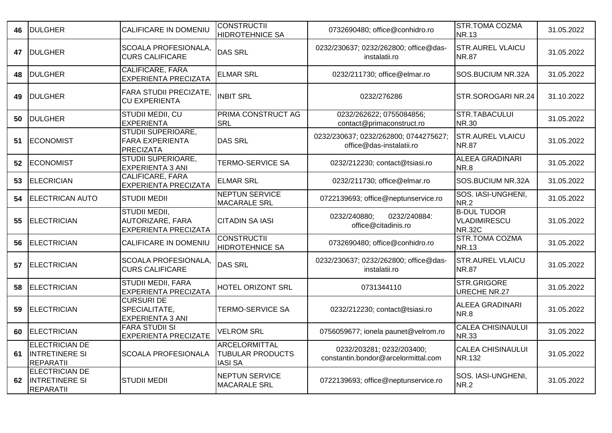| 46 | <b>DULGHER</b>                                                     | CALIFICARE IN DOMENIU                                                   | <b>CONSTRUCTII</b><br><b>HIDROTEHNICE SA</b>                      | 0732690480; office@conhidro.ro                                    | <b>STR.TOMA COZMA</b><br><b>NR.13</b>               | 31.05.2022 |
|----|--------------------------------------------------------------------|-------------------------------------------------------------------------|-------------------------------------------------------------------|-------------------------------------------------------------------|-----------------------------------------------------|------------|
| 47 | <b>DULGHER</b>                                                     | SCOALA PROFESIONALA,<br><b>CURS CALIFICARE</b>                          | <b>DAS SRL</b>                                                    | 0232/230637; 0232/262800; office@das-<br>instalatii.ro            | <b>STR.AUREL VLAICU</b><br><b>NR.87</b>             | 31.05.2022 |
| 48 | <b>DULGHER</b>                                                     | <b>CALIFICARE, FARA</b><br><b>EXPERIENTA PRECIZATA</b>                  | <b>ELMAR SRL</b>                                                  | 0232/211730; office@elmar.ro                                      | SOS.BUCIUM NR.32A                                   | 31.05.2022 |
| 49 | <b>DULGHER</b>                                                     | <b>FARA STUDII PRECIZATE,</b><br><b>CU EXPERIENTA</b>                   | <b>INBIT SRL</b>                                                  | 0232/276286                                                       | STR.SOROGARI NR.24                                  | 31.10.2022 |
| 50 | <b>DULGHER</b>                                                     | STUDII MEDII, CU<br><b>EXPERIENTA</b>                                   | PRIMA CONSTRUCT AG<br><b>SRL</b>                                  | 0232/262622; 0755084856;<br>contact@primaconstruct.ro             | STR.TABACULUI<br><b>NR.30</b>                       | 31.05.2022 |
| 51 | <b>ECONOMIST</b>                                                   | <b>STUDII SUPERIOARE,</b><br><b>FARA EXPERIENTA</b><br><b>PRECIZATA</b> | <b>DAS SRL</b>                                                    | 0232/230637; 0232/262800; 0744275627;<br>office@das-instalatii.ro | <b>STR.AUREL VLAICU</b><br><b>NR.87</b>             | 31.05.2022 |
| 52 | <b>ECONOMIST</b>                                                   | <b>STUDII SUPERIOARE,</b><br><b>EXPERIENTA 3 ANI</b>                    | <b>TERMO-SERVICE SA</b>                                           | 0232/212230; contact@tsiasi.ro                                    | <b>ALEEA GRADINARI</b><br><b>NR.8</b>               | 31.05.2022 |
| 53 | <b>ELECRICIAN</b>                                                  | <b>CALIFICARE, FARA</b><br><b>EXPERIENTA PRECIZATA</b>                  | <b>ELMAR SRL</b>                                                  | 0232/211730; office@elmar.ro                                      | SOS.BUCIUM NR.32A                                   | 31.05.2022 |
| 54 | <b>ELECTRICAN AUTO</b>                                             | <b>STUDII MEDII</b>                                                     | <b>NEPTUN SERVICE</b><br><b>MACARALE SRL</b>                      | 0722139693; office@neptunservice.ro                               | SOS. IASI-UNGHENI,<br><b>NR.2</b>                   | 31.05.2022 |
| 55 | <b>ELECTRICIAN</b>                                                 | STUDII MEDII,<br>AUTORIZARE, FARA<br><b>EXPERIENTA PRECIZATA</b>        | <b>CITADIN SA IASI</b>                                            | 0232/240880;<br>0232/240884:<br>office@citadinis.ro               | <b>B-DUL TUDOR</b><br>VLADIMIRESCU<br><b>NR.32C</b> | 31.05.2022 |
| 56 | <b>ELECTRICIAN</b>                                                 | CALIFICARE IN DOMENIU                                                   | <b>CONSTRUCTII</b><br><b>HIDROTEHNICE SA</b>                      | 0732690480; office@conhidro.ro                                    | <b>STR.TOMA COZMA</b><br><b>NR.13</b>               | 31.05.2022 |
| 57 | <b>ELECTRICIAN</b>                                                 | SCOALA PROFESIONALA,<br><b>CURS CALIFICARE</b>                          | <b>DAS SRL</b>                                                    | 0232/230637; 0232/262800; office@das-<br>instalatii.ro            | <b>STR.AUREL VLAICU</b><br>NR.87                    | 31.05.2022 |
| 58 | <b>ELECTRICIAN</b>                                                 | <b>STUDII MEDII, FARA</b><br><b>EXPERIENTA PRECIZATA</b>                | HOTEL ORIZONT SRL                                                 | 0731344110                                                        | STR.GRIGORE<br>URECHE NR.27                         | 31.05.2022 |
| 59 | <b>ELECTRICIAN</b>                                                 | <b>CURSURI DE</b><br>SPECIALITATE,<br><b>EXPERIENTA 3 ANI</b>           | <b>TERMO-SERVICE SA</b>                                           | 0232/212230; contact@tsiasi.ro                                    | <b>ALEEA GRADINARI</b><br>NR.8                      | 31.05.2022 |
| 60 | <b>ELECTRICIAN</b>                                                 | <b>FARA STUDII SI</b><br><b>EXPERIENTA PRECIZATE</b>                    | <b>VELROM SRL</b>                                                 | 0756059677; ionela paunet@velrom.ro                               | <b>CALEA CHISINAULUI</b><br><b>NR.33</b>            | 31.05.2022 |
| 61 | ELECTRICIAN DE<br><b>INTRETINERE SI</b><br>REPARATII               | <b>SCOALA PROFESIONALA</b>                                              | <b>ARCELORMITTAL</b><br><b>TUBULAR PRODUCTS</b><br><b>IASI SA</b> | 0232/203281; 0232/203400;<br>constantin.bondor@arcelormittal.com  | <b>CALEA CHISINAULUI</b><br>NR.132                  | 31.05.2022 |
| 62 | <b>ELECTRICIAN DE</b><br><b>INTRETINERE SI</b><br><b>REPARATII</b> | <b>STUDII MEDII</b>                                                     | <b>NEPTUN SERVICE</b><br><b>MACARALE SRL</b>                      | 0722139693; office@neptunservice.ro                               | SOS. IASI-UNGHENI,<br><b>NR.2</b>                   | 31.05.2022 |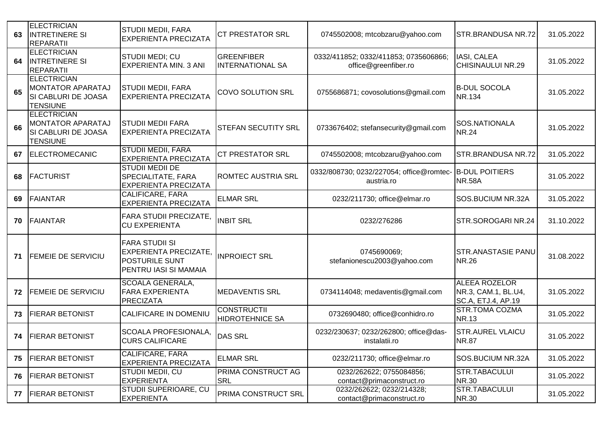| 63 | <b>ELECTRICIAN</b><br><b>INTRETINERE SI</b><br><b>REPARATII</b>                   | <b>STUDII MEDII, FARA</b><br><b>EXPERIENTA PRECIZATA</b>                                                | <b>CT PRESTATOR SRL</b>                      | 0745502008; mtcobzaru@yahoo.com                               | <b>STR.BRANDUSA NR.72</b>                                  | 31.05.2022 |
|----|-----------------------------------------------------------------------------------|---------------------------------------------------------------------------------------------------------|----------------------------------------------|---------------------------------------------------------------|------------------------------------------------------------|------------|
| 64 | <b>ELECTRICIAN</b><br><b>INTRETINERE SI</b><br><b>REPARATII</b>                   | STUDII MEDI; CU<br><b>EXPERIENTA MIN. 3 ANI</b>                                                         | GREENFIBER<br><b>INTERNATIONAL SA</b>        | 0332/411852; 0332/411853; 0735606866;<br>office@greenfiber.ro | IASI, CALEA<br><b>CHISINAULUI NR.29</b>                    | 31.05.2022 |
| 65 | <b>ELECTRICIAN</b><br>MONTATOR APARATAJ<br>SI CABLURI DE JOASA<br><b>TENSIUNE</b> | STUDII MEDII, FARA<br><b>EXPERIENTA PRECIZATA</b>                                                       | <b>COVO SOLUTION SRL</b>                     | 0755686871; covosolutions@gmail.com                           | <b>B-DUL SOCOLA</b><br><b>NR.134</b>                       | 31.05.2022 |
| 66 | <b>ELECTRICIAN</b><br>MONTATOR APARATAJ<br>SI CABLURI DE JOASA<br><b>TENSIUNE</b> | <b>STUDII MEDII FARA</b><br><b>EXPERIENTA PRECIZATA</b>                                                 | STEFAN SECUTITY SRL                          | 0733676402; stefansecurity@gmail.com                          | SOS.NATIONALA<br><b>NR.24</b>                              | 31.05.2022 |
| 67 | <b>ELECTROMECANIC</b>                                                             | <b>STUDII MEDII, FARA</b><br><b>EXPERIENTA PRECIZATA</b>                                                | <b>CT PRESTATOR SRL</b>                      | 0745502008; mtcobzaru@yahoo.com                               | <b>STR.BRANDUSA NR.72</b>                                  | 31.05.2022 |
| 68 | <b>FACTURIST</b>                                                                  | <b>STUDII MEDII DE</b><br><b>SPECIALITATE, FARA</b><br><b>EXPERIENTA PRECIZATA</b>                      | <b>ROMTEC AUSTRIA SRL</b>                    | 0332/808730; 0232/227054; office@romtec-<br>austria.ro        | <b>B-DUL POITIERS</b><br><b>NR.58A</b>                     | 31.05.2022 |
| 69 | <b>FAIANTAR</b>                                                                   | CALIFICARE, FARA<br><b>EXPERIENTA PRECIZATA</b>                                                         | <b>ELMAR SRL</b>                             | 0232/211730; office@elmar.ro                                  | SOS.BUCIUM NR.32A                                          | 31.05.2022 |
| 70 | <b>FAIANTAR</b>                                                                   | <b>FARA STUDII PRECIZATE,</b><br><b>CU EXPERIENTA</b>                                                   | <b>INBIT SRL</b>                             | 0232/276286                                                   | STR.SOROGARI NR.24                                         | 31.10.2022 |
| 71 | <b>FEMEIE DE SERVICIU</b>                                                         | <b>FARA STUDII SI</b><br><b>EXPERIENTA PRECIZATE,</b><br><b>POSTURILE SUNT</b><br>PENTRU IASI SI MAMAIA | <b>INPROIECT SRL</b>                         | 0745690069;<br>stefanionescu2003@yahoo.com                    | <b>STR.ANASTASIE PANU</b><br><b>NR.26</b>                  | 31.08.2022 |
| 72 | FEMEIE DE SERVICIU                                                                | <b>SCOALA GENERALA,</b><br><b>FARA EXPERIENTA</b><br>PRECIZATA                                          | <b>MEDAVENTIS SRL</b>                        | 0734114048; medaventis@gmail.com                              | ALEEA ROZELOR<br>NR.3, CAM.1, BL.U4,<br>SC.A, ETJ.4, AP.19 | 31.05.2022 |
| 73 | <b>FIERAR BETONIST</b>                                                            | CALIFICARE IN DOMENIU                                                                                   | <b>CONSTRUCTII</b><br><b>HIDROTEHNICE SA</b> | 0732690480; office@conhidro.ro                                | <b>STR.TOMA COZMA</b><br><b>NR.13</b>                      | 31.05.2022 |
| 74 | <b>FIERAR BETONIST</b>                                                            | <b>SCOALA PROFESIONALA,</b><br><b>CURS CALIFICARE</b>                                                   | <b>DAS SRL</b>                               | 0232/230637; 0232/262800; office@das-<br>instalatii.ro        | <b>STR.AUREL VLAICU</b><br><b>NR.87</b>                    | 31.05.2022 |
| 75 | <b>FIERAR BETONIST</b>                                                            | CALIFICARE, FARA<br><b>EXPERIENTA PRECIZATA</b>                                                         | <b>ELMAR SRL</b>                             | 0232/211730; office@elmar.ro                                  | SOS.BUCIUM NR.32A                                          | 31.05.2022 |
| 76 | <b>FIERAR BETONIST</b>                                                            | STUDII MEDII, CU<br><b>EXPERIENTA</b>                                                                   | PRIMA CONSTRUCT AG<br><b>SRL</b>             | 0232/262622; 0755084856;<br>contact@primaconstruct.ro         | <b>STR.TABACULUI</b><br><b>NR.30</b>                       | 31.05.2022 |
| 77 | <b>FIERAR BETONIST</b>                                                            | STUDII SUPERIOARE, CU<br><b>EXPERIENTA</b>                                                              | PRIMA CONSTRUCT SRL                          | 0232/262622; 0232/214328;<br>contact@primaconstruct.ro        | STR.TABACULUI<br><b>NR.30</b>                              | 31.05.2022 |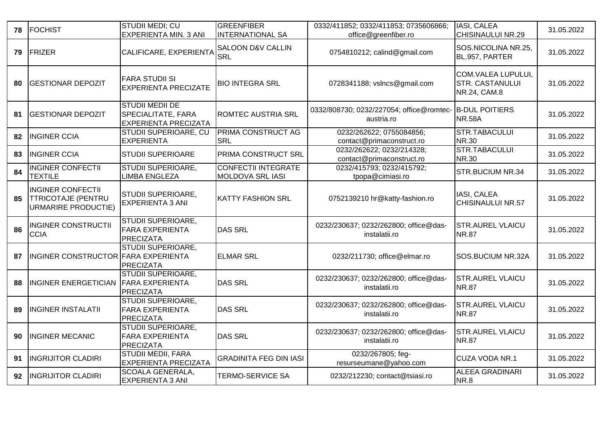| 78 | <b>FOCHIST</b>                                                               | <b>STUDII MEDI; CU</b><br><b>EXPERIENTA MIN. 3 ANI</b>                             | GREENFIBER<br><b>INTERNATIONAL SA</b>                 | 0332/411852; 0332/411853; 0735606866;<br>office@greenfiber.ro | IASI, CALEA<br><b>CHISINAULUI NR.29</b>                             | 31.05.2022 |
|----|------------------------------------------------------------------------------|------------------------------------------------------------------------------------|-------------------------------------------------------|---------------------------------------------------------------|---------------------------------------------------------------------|------------|
| 79 | <b>FRIZER</b>                                                                | CALIFICARE, EXPERIENTA                                                             | <b>SALOON D&amp;V CALLIN</b><br><b>SRL</b>            | 0754810212; calind@gmail.com                                  | SOS.NICOLINA NR.25,<br>BL.957, PARTER                               | 31.05.2022 |
| 80 | <b>GESTIONAR DEPOZIT</b>                                                     | <b>FARA STUDII SI</b><br><b>EXPERIENTA PRECIZATE</b>                               | <b>BIO INTEGRA SRL</b>                                | 0728341188; vslncs@gmail.com                                  | <b>COM.VALEA LUPULUI,</b><br><b>STR. CASTANULUI</b><br>NR.24, CAM.8 | 31.05.2022 |
| 81 | <b>GESTIONAR DEPOZIT</b>                                                     | <b>STUDII MEDII DE</b><br><b>SPECIALITATE, FARA</b><br><b>EXPERIENTA PRECIZATA</b> | <b>ROMTEC AUSTRIA SRL</b>                             | 0332/808730; 0232/227054; office@romtec-<br>austria.ro        | <b>B-DUL POITIERS</b><br><b>NR.58A</b>                              | 31.05.2022 |
| 82 | <b>INGINER CCIA</b>                                                          | STUDII SUPERIOARE, CU<br><b>EXPERIENTA</b>                                         | <b>PRIMA CONSTRUCT AG</b><br><b>SRL</b>               | 0232/262622; 0755084856;<br>contact@primaconstruct.ro         | STR.TABACULUI<br><b>NR.30</b>                                       | 31.05.2022 |
| 83 | <b>INGINER CCIA</b>                                                          | <b>STUDII SUPERIOARE</b>                                                           | PRIMA CONSTRUCT SRL                                   | 0232/262622; 0232/214328;<br>contact@primaconstruct.ro        | STR.TABACULUI<br><b>NR.30</b>                                       | 31.05.2022 |
| 84 | <b>INGINER CONFECTII</b><br><b>TEXTILE</b>                                   | <b>STUDII SUPERIOARE,</b><br><b>IMBA ENGLEZA</b>                                   | <b>CONFECTII INTEGRATE</b><br><b>MOLDOVA SRL IASI</b> | 0232/415793; 0232/415792;<br>tpopa@cimiasi.ro                 | STR.BUCIUM NR.34                                                    | 31.05.2022 |
| 85 | <b>INGINER CONFECTII</b><br><b>TTRICOTAJE (PENTRU</b><br>URMARIRE PRODUCTIE) | <b>STUDII SUPERIOARE,</b><br><b>EXPERIENTA 3 ANI</b>                               | <b>KATTY FASHION SRL</b>                              | 0752139210 hr@katty-fashion.ro                                | IASI, CALEA<br><b>CHISINAULUI NR.57</b>                             | 31.05.2022 |
| 86 | <b>INGINER CONSTRUCTII</b><br><b>CCIA</b>                                    | <b>STUDII SUPERIOARE,</b><br><b>FARA EXPERIENTA</b><br>PRECIZATA                   | <b>DAS SRL</b>                                        | 0232/230637; 0232/262800; office@das-<br>instalatii.ro        | <b>STR.AUREL VLAICU</b><br><b>NR.87</b>                             | 31.05.2022 |
| 87 | INGINER CONSTRUCTOR FARA EXPERIENTA                                          | <b>STUDII SUPERIOARE,</b><br>PRECIZATA                                             | <b>ELMAR SRL</b>                                      | 0232/211730; office@elmar.ro                                  | SOS.BUCIUM NR.32A                                                   | 31.05.2022 |
| 88 | <b>INGINER ENERGETICIAN</b>                                                  | STUDII SUPERIOARE,<br><b>FARA EXPERIENTA</b><br>PRECIZATA                          | <b>DAS SRL</b>                                        | 0232/230637; 0232/262800; office@das-<br>instalatii.ro        | <b>STR.AUREL VLAICU</b><br><b>NR.87</b>                             | 31.05.2022 |
| 89 | <b>INGINER INSTALATII</b>                                                    | <b>STUDII SUPERIOARE,</b><br><b>FARA EXPERIENTA</b><br><b>PRECIZATA</b>            | <b>DAS SRL</b>                                        | 0232/230637; 0232/262800; office@das-<br>instalatii.ro        | <b>STR.AUREL VLAICU</b><br><b>NR.87</b>                             | 31.05.2022 |
| 90 | <b>INGINER MECANIC</b>                                                       | STUDII SUPERIOARE,<br><b>FARA EXPERIENTA</b><br>PRECIZATA                          | <b>DAS SRL</b>                                        | 0232/230637; 0232/262800; office@das-<br>instalatii.ro        | <b>STR.AUREL VLAICU</b><br><b>NR.87</b>                             | 31.05.2022 |
| 91 | <b>INGRIJITOR CLADIRI</b>                                                    | <b>STUDII MEDII, FARA</b><br><b>EXPERIENTA PRECIZATA</b>                           | <b>GRADINITA FEG DIN IASI</b>                         | 0232/267805; feg-<br>resurseumane@yahoo.com                   | CUZA VODA NR.1                                                      | 31.05.2022 |
| 92 | <b>INGRIJITOR CLADIRI</b>                                                    | SCOALA GENERALA,<br><b>EXPERIENTA 3 ANI</b>                                        | <b>TERMO-SERVICE SA</b>                               | 0232/212230; contact@tsiasi.ro                                | <b>ALEEA GRADINARI</b><br>NR.8                                      | 31.05.2022 |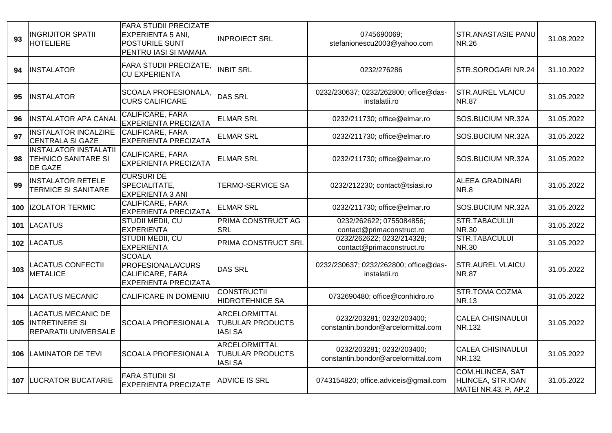| 93  | <b>INGRIJITOR SPATII</b><br><b>HOTELIERE</b>                                   | <b>FARA STUDII PRECIZATE</b><br>EXPERIENTA 5 ANI,<br><b>POSTURILE SUNT</b><br>PENTRU IASI SI MAMAIA | <b>INPROIECT SRL</b>                                              | 0745690069;<br>stefanionescu2003@yahoo.com                       | <b>STR.ANASTASIE PANU</b><br><b>NR.26</b>                            | 31.08.2022 |
|-----|--------------------------------------------------------------------------------|-----------------------------------------------------------------------------------------------------|-------------------------------------------------------------------|------------------------------------------------------------------|----------------------------------------------------------------------|------------|
| 94  | <b>INSTALATOR</b>                                                              | <b>FARA STUDII PRECIZATE,</b><br><b>CU EXPERIENTA</b>                                               | <b>INBIT SRL</b>                                                  | 0232/276286                                                      | STR.SOROGARI NR.24                                                   | 31.10.2022 |
| 95  | <b>INSTALATOR</b>                                                              | SCOALA PROFESIONALA,<br><b>CURS CALIFICARE</b>                                                      | <b>DAS SRL</b>                                                    | 0232/230637; 0232/262800; office@das-<br>instalatii.ro           | <b>STR.AUREL VLAICU</b><br><b>NR.87</b>                              | 31.05.2022 |
| 96  | <b>INSTALATOR APA CANAL</b>                                                    | <b>CALIFICARE, FARA</b><br><b>EXPERIENTA PRECIZATA</b>                                              | <b>ELMAR SRL</b>                                                  | 0232/211730; office@elmar.ro                                     | SOS.BUCIUM NR.32A                                                    | 31.05.2022 |
| 97  | <b>INSTALATOR INCALZIRE</b><br><b>CENTRALA SI GAZE</b>                         | CALIFICARE, FARA<br><b>EXPERIENTA PRECIZATA</b>                                                     | <b>ELMAR SRL</b>                                                  | 0232/211730; office@elmar.ro                                     | SOS.BUCIUM NR.32A                                                    | 31.05.2022 |
| 98  | <b>INSTALATOR INSTALATII</b><br><b>TEHNICO SANITARE SI</b><br><b>DE GAZE</b>   | CALIFICARE, FARA<br><b>EXPERIENTA PRECIZATA</b>                                                     | <b>ELMAR SRL</b>                                                  | 0232/211730; office@elmar.ro                                     | SOS.BUCIUM NR.32A                                                    | 31.05.2022 |
| 99  | <b>INSTALATOR RETELE</b><br><b>TERMICE SI SANITARE</b>                         | <b>CURSURI DE</b><br>SPECIALITATE,<br><b>EXPERIENTA 3 ANI</b>                                       | <b>TERMO-SERVICE SA</b>                                           | 0232/212230; contact@tsiasi.ro                                   | <b>ALEEA GRADINARI</b><br><b>NR.8</b>                                | 31.05.2022 |
|     | 100 IZOLATOR TERMIC                                                            | <b>CALIFICARE, FARA</b><br><b>EXPERIENTA PRECIZATA</b>                                              | <b>ELMAR SRL</b>                                                  | 0232/211730; office@elmar.ro                                     | SOS.BUCIUM NR.32A                                                    | 31.05.2022 |
|     | 101 LACATUS                                                                    | STUDII MEDII, CU<br><b>EXPERIENTA</b>                                                               | PRIMA CONSTRUCT AG<br><b>SRL</b>                                  | 0232/262622; 0755084856;<br>contact@primaconstruct.ro            | <b>STR.TABACULUI</b><br><b>NR.30</b>                                 | 31.05.2022 |
|     | 102  LACATUS                                                                   | STUDII MEDII, CU<br>EXPERIENTA                                                                      | PRIMA CONSTRUCT SRL                                               | 0232/262622; 0232/214328;<br>contact@primaconstruct.ro           | <b>STR.TABACULUI</b><br><b>NR.30</b>                                 | 31.05.2022 |
| 103 | <b>LACATUS CONFECTII</b><br><b>METALICE</b>                                    | <b>SCOALA</b><br>PROFESIONALA/CURS<br><b>CALIFICARE, FARA</b><br>EXPERIENTA PRECIZATA               | <b>DAS SRL</b>                                                    | 0232/230637; 0232/262800; office@das-<br>instalatii.ro           | <b>STR.AUREL VLAICU</b><br><b>NR.87</b>                              | 31.05.2022 |
| 104 | <b>LACATUS MECANIC</b>                                                         | CALIFICARE IN DOMENIU                                                                               | <b>CONSTRUCTII</b><br><b>HIDROTEHNICE SA</b>                      | 0732690480; office@conhidro.ro                                   | <b>STR.TOMA COZMA</b><br><b>NR.13</b>                                | 31.05.2022 |
|     | <b>LACATUS MECANIC DE</b><br>105 INTRETINERE SI<br><b>REPARATII UNIVERSALE</b> | <b>SCOALA PROFESIONALA</b>                                                                          | <b>ARCELORMITTAL</b><br><b>TUBULAR PRODUCTS</b><br><b>IASI SA</b> | 0232/203281; 0232/203400;<br>constantin.bondor@arcelormittal.com | <b>CALEA CHISINAULUI</b><br>NR.132                                   | 31.05.2022 |
|     | <b>106 LAMINATOR DE TEVI</b>                                                   | <b>SCOALA PROFESIONALA</b>                                                                          | <b>ARCELORMITTAL</b><br><b>TUBULAR PRODUCTS</b><br><b>IASI SA</b> | 0232/203281; 0232/203400;<br>constantin.bondor@arcelormittal.com | <b>CALEA CHISINAULUI</b><br>NR.132                                   | 31.05.2022 |
|     | <b>107 LUCRATOR BUCATARIE</b>                                                  | <b>FARA STUDII SI</b><br><b>EXPERIENTA PRECIZATE</b>                                                | <b>ADVICE IS SRL</b>                                              | 0743154820; office.adviceis@gmail.com                            | <b>COM.HLINCEA, SAT</b><br>HLINCEA, STR.IOAN<br>MATEI NR.43, P, AP.2 | 31.05.2022 |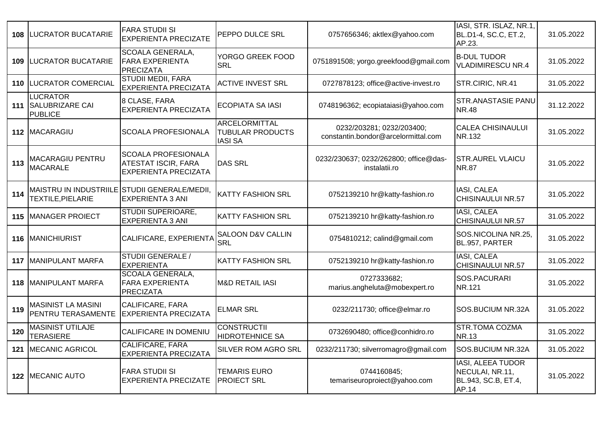| 108 | <b>LUCRATOR BUCATARIE</b>                                | <b>FARA STUDII SI</b><br><b>EXPERIENTA PRECIZATE</b>                                    | PEPPO DULCE SRL                                            | 0757656346; aktlex@yahoo.com                                     | IASI, STR. ISLAZ, NR.1,<br>BL.D1-4, SC.C, ET.2,<br>AP.23.                   | 31.05.2022 |
|-----|----------------------------------------------------------|-----------------------------------------------------------------------------------------|------------------------------------------------------------|------------------------------------------------------------------|-----------------------------------------------------------------------------|------------|
| 109 | <b>LUCRATOR BUCATARIE</b>                                | <b>SCOALA GENERALA,</b><br><b>FARA EXPERIENTA</b><br>PRECIZATA                          | YORGO GREEK FOOD<br><b>SRL</b>                             | 0751891508; yorgo.greekfood@gmail.com                            | <b>B-DUL TUDOR</b><br><b>VLADIMIRESCU NR.4</b>                              | 31.05.2022 |
| 110 | <b>LUCRATOR COMERCIAL</b>                                | <b>STUDII MEDII, FARA</b><br><b>EXPERIENTA PRECIZATA</b>                                | <b>ACTIVE INVEST SRL</b>                                   | 0727878123; office@active-invest.ro                              | STR.CIRIC, NR.41                                                            | 31.05.2022 |
|     | <b>LUCRATOR</b><br>111 SALUBRIZARE CAI<br><b>PUBLICE</b> | 8 CLASE, FARA<br><b>EXPERIENTA PRECIZATA</b>                                            | <b>ECOPIATA SA IASI</b>                                    | 0748196362; ecopiataiasi@yahoo.com                               | <b>STR.ANASTASIE PANU</b><br><b>NR.48</b>                                   | 31.12.2022 |
|     | 112 MACARAGIU                                            | <b>SCOALA PROFESIONALA</b>                                                              | ARCELORMITTAL<br><b>TUBULAR PRODUCTS</b><br><b>IASI SA</b> | 0232/203281; 0232/203400;<br>constantin.bondor@arcelormittal.com | <b>CALEA CHISINAULUI</b><br>NR.132                                          | 31.05.2022 |
| 113 | MACARAGIU PENTRU<br><b>MACARALE</b>                      | <b>SCOALA PROFESIONALA</b><br><b>ATESTAT ISCIR, FARA</b><br><b>EXPERIENTA PRECIZATA</b> | <b>DAS SRL</b>                                             | 0232/230637; 0232/262800; office@das-<br>instalatii.ro           | <b>STR.AUREL VLAICU</b><br><b>NR.87</b>                                     | 31.05.2022 |
| 114 | TEXTILE, PIELARIE                                        | MAISTRU IN INDUSTRIILE STUDII GENERALE/MEDII,<br><b>EXPERIENTA 3 ANI</b>                | <b>KATTY FASHION SRL</b>                                   | 0752139210 hr@katty-fashion.ro                                   | <b>IASI, CALEA</b><br><b>CHISINAULUI NR.57</b>                              | 31.05.2022 |
| 115 | <b>MANAGER PROIECT</b>                                   | <b>STUDII SUPERIOARE,</b><br><b>EXPERIENTA 3 ANI</b>                                    | <b>KATTY FASHION SRL</b>                                   | 0752139210 hr@katty-fashion.ro                                   | <b>IASI, CALEA</b><br><b>CHISINAULUI NR.57</b>                              | 31.05.2022 |
| 116 | MANICHIURIST                                             | CALIFICARE, EXPERIENTA                                                                  | SALOON D&V CALLIN<br><b>SRL</b>                            | 0754810212; calind@gmail.com                                     | SOS.NICOLINA NR.25,<br>BL.957, PARTER                                       | 31.05.2022 |
| 117 | MANIPULANT MARFA                                         | <b>STUDII GENERALE /</b><br><b>EXPERIENTA</b>                                           | <b>KATTY FASHION SRL</b>                                   | 0752139210 hr@katty-fashion.ro                                   | <b>IASI, CALEA</b><br><b>CHISINAULUI NR.57</b>                              | 31.05.2022 |
| 118 | <b>MANIPULANT MARFA</b>                                  | <b>SCOALA GENERALA,</b><br><b>FARA EXPERIENTA</b><br><b>PRECIZATA</b>                   | <b>M&amp;D RETAIL IASI</b>                                 | 0727333682;<br>marius.angheluta@mobexpert.ro                     | SOS.PACURARI<br>NR.121                                                      | 31.05.2022 |
| 119 | <b>MASINIST LA MASINI</b><br>PENTRU TERASAMENTE          | <b>CALIFICARE, FARA</b><br><b>EXPERIENTA PRECIZATA</b>                                  | <b>ELMAR SRL</b>                                           | 0232/211730; office@elmar.ro                                     | SOS.BUCIUM NR.32A                                                           | 31.05.2022 |
| 120 | <b>MASINIST UTILAJE</b><br><b>TERASIERE</b>              | CALIFICARE IN DOMENIU                                                                   | <b>CONSTRUCTII</b><br><b>HIDROTEHNICE SA</b>               | 0732690480; office@conhidro.ro                                   | <b>STR.TOMA COZMA</b><br><b>NR.13</b>                                       | 31.05.2022 |
| 121 | <b>MECANIC AGRICOL</b>                                   | <b>CALIFICARE, FARA</b><br><b>EXPERIENTA PRECIZATA</b>                                  | SILVER ROM AGRO SRL                                        | 0232/211730; silverromagro@gmail.com                             | SOS.BUCIUM NR.32A                                                           | 31.05.2022 |
|     | 122 MECANIC AUTO                                         | <b>FARA STUDII SI</b><br><b>EXPERIENTA PRECIZATE</b>                                    | <b>TEMARIS EURO</b><br><b>PROIECT SRL</b>                  | 0744160845;<br>temariseuroproiect@yahoo.com                      | <b>IASI, ALEEA TUDOR</b><br>NECULAI, NR.11,<br>BL.943, SC.B, ET.4,<br>AP.14 | 31.05.2022 |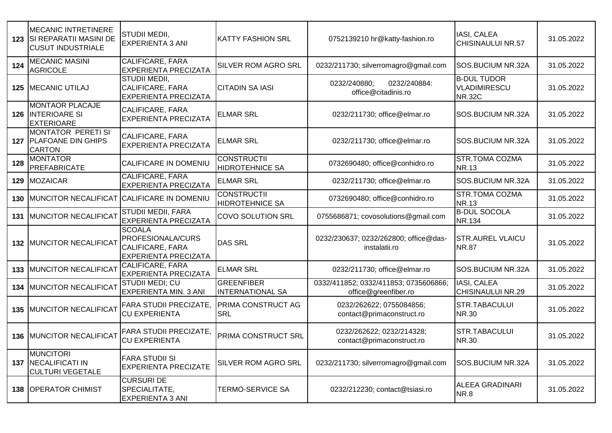|     | <b>MECANIC INTRETINERE</b><br>123   SI REPARATII MASINI DE<br><b>CUSUT INDUSTRIALE</b> | STUDII MEDII,<br><b>EXPERIENTA 3 ANI</b>                                                     | <b>KATTY FASHION SRL</b>                     | 0752139210 hr@katty-fashion.ro                                | IASI, CALEA<br><b>CHISINAULUI NR.57</b>             | 31.05.2022 |
|-----|----------------------------------------------------------------------------------------|----------------------------------------------------------------------------------------------|----------------------------------------------|---------------------------------------------------------------|-----------------------------------------------------|------------|
| 124 | <b>MECANIC MASINI</b><br><b>AGRICOLE</b>                                               | <b>CALIFICARE, FARA</b><br><b>EXPERIENTA PRECIZATA</b>                                       | SILVER ROM AGRO SRL                          | 0232/211730; silverromagro@gmail.com                          | <b>SOS.BUCIUM NR.32A</b>                            | 31.05.2022 |
|     | 125   MECANIC UTILAJ                                                                   | STUDII MEDII,<br><b>CALIFICARE, FARA</b><br><b>EXPERIENTA PRECIZATA</b>                      | <b>CITADIN SA IASI</b>                       | 0232/240884:<br>0232/240880;<br>office@citadinis.ro           | <b>B-DUL TUDOR</b><br>VLADIMIRESCU<br><b>NR.32C</b> | 31.05.2022 |
| 126 | <b>MONTAOR PLACAJE</b><br><b>INTERIOARE SI</b><br><b>EXTERIOARE</b>                    | <b>CALIFICARE, FARA</b><br><b>EXPERIENTA PRECIZATA</b>                                       | <b>ELMAR SRL</b>                             | 0232/211730; office@elmar.ro                                  | SOS.BUCIUM NR.32A                                   | 31.05.2022 |
|     | <b>MONTATOR PERETI SI</b><br>127 PLAFOANE DIN GHIPS<br><b>CARTON</b>                   | <b>CALIFICARE, FARA</b><br><b>EXPERIENTA PRECIZATA</b>                                       | <b>ELMAR SRL</b>                             | 0232/211730; office@elmar.ro                                  | SOS.BUCIUM NR.32A                                   | 31.05.2022 |
| 128 | <b>MONTATOR</b><br><b>PREFABRICATE</b>                                                 | CALIFICARE IN DOMENIU                                                                        | <b>CONSTRUCTII</b><br><b>HIDROTEHNICE SA</b> | 0732690480; office@conhidro.ro                                | <b>STR.TOMA COZMA</b><br><b>NR.13</b>               | 31.05.2022 |
|     | 129 MOZAICAR                                                                           | <b>CALIFICARE, FARA</b><br><b>EXPERIENTA PRECIZATA</b>                                       | <b>ELMAR SRL</b>                             | 0232/211730; office@elmar.ro                                  | SOS.BUCIUM NR.32A                                   | 31.05.2022 |
|     | 130 MUNCITOR NECALIFICAT CALIFICARE IN DOMENIU                                         |                                                                                              | <b>CONSTRUCTII</b><br><b>HIDROTEHNICE SA</b> | 0732690480; office@conhidro.ro                                | <b>STR.TOMA COZMA</b><br><b>NR.13</b>               | 31.05.2022 |
| 131 | <b>MUNCITOR NECALIFICAT</b>                                                            | <b>STUDII MEDII, FARA</b><br><b>EXPERIENTA PRECIZATA</b>                                     | <b>COVO SOLUTION SRL</b>                     | 0755686871; covosolutions@gmail.com                           | <b>B-DUL SOCOLA</b><br>NR.134                       | 31.05.2022 |
|     | 132 MUNCITOR NECALIFICAT                                                               | <b>SCOALA</b><br>PROFESIONALA/CURS<br><b>CALIFICARE, FARA</b><br><b>EXPERIENTA PRECIZATA</b> | <b>DAS SRL</b>                               | 0232/230637; 0232/262800; office@das-<br>instalatii.ro        | <b>STR.AUREL VLAICU</b><br><b>NR.87</b>             | 31.05.2022 |
| 133 | <b>MUNCITOR NECALIFICAT</b>                                                            | <b>CALIFICARE, FARA</b><br><b>EXPERIENTA PRECIZATA</b>                                       | <b>ELMAR SRL</b>                             | 0232/211730; office@elmar.ro                                  | SOS.BUCIUM NR.32A                                   | 31.05.2022 |
| 134 | MUNCITOR NECALIFICAT                                                                   | STUDII MEDI; CU<br><b>EXPERIENTA MIN. 3 ANI</b>                                              | <b>GREENFIBER</b><br><b>INTERNATIONAL SA</b> | 0332/411852; 0332/411853; 0735606866;<br>office@greenfiber.ro | IASI, CALEA<br>CHISINAULUI NR.29                    | 31.05.2022 |
|     | 135 MUNCITOR NECALIFICAT                                                               | <b>FARA STUDII PRECIZATE,</b><br><b>CU EXPERIENTA</b>                                        | PRIMA CONSTRUCT AG<br><b>SRL</b>             | 0232/262622; 0755084856;<br>contact@primaconstruct.ro         | <b>STR.TABACULUI</b><br><b>NR.30</b>                | 31.05.2022 |
|     | 136 MUNCITOR NECALIFICAT                                                               | <b>FARA STUDII PRECIZATE,</b><br><b>CU EXPERIENTA</b>                                        | PRIMA CONSTRUCT SRL                          | 0232/262622; 0232/214328;<br>contact@primaconstruct.ro        | <b>STR.TABACULUI</b><br><b>NR.30</b>                | 31.05.2022 |
| 137 | <b>MUNCITORI</b><br><b>NECALIFICATI IN</b><br><b>CULTURI VEGETALE</b>                  | <b>FARA STUDII SI</b><br><b>EXPERIENTA PRECIZATE</b>                                         | SILVER ROM AGRO SRL                          | 0232/211730; silverromagro@gmail.com                          | SOS.BUCIUM NR.32A                                   | 31.05.2022 |
| 138 | <b>OPERATOR CHIMIST</b>                                                                | <b>CURSURI DE</b><br>SPECIALITATE,<br>EXPERIENTA 3 ANI                                       | <b>TERMO-SERVICE SA</b>                      | 0232/212230; contact@tsiasi.ro                                | ALEEA GRADINARI<br><b>NR.8</b>                      | 31.05.2022 |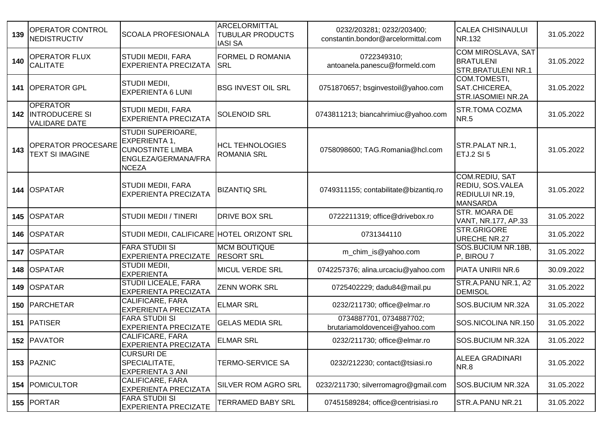| 139 | OPERATOR CONTROL<br><b>NEDISTRUCTIV</b>                              | <b>SCOALA PROFESIONALA</b>                                                                            | ARCELORMITTAL<br><b>TUBULAR PRODUCTS</b><br><b>IASI SA</b> | 0232/203281; 0232/203400;<br>constantin.bondor@arcelormittal.com | <b>CALEA CHISINAULUI</b><br>NR.132                                              | 31.05.2022 |
|-----|----------------------------------------------------------------------|-------------------------------------------------------------------------------------------------------|------------------------------------------------------------|------------------------------------------------------------------|---------------------------------------------------------------------------------|------------|
| 140 | <b>OPERATOR FLUX</b><br><b>CALITATE</b>                              | <b>STUDII MEDII, FARA</b><br><b>EXPERIENTA PRECIZATA</b>                                              | <b>FORMEL D ROMANIA</b><br><b>SRL</b>                      | 0722349310;<br>antoanela.panescu@formeld.com                     | <b>COM MIROSLAVA, SAT</b><br><b>BRATULENI</b><br><b>STR.BRATULENI NR.1</b>      | 31.05.2022 |
|     | 141 OPERATOR GPL                                                     | STUDII MEDII,<br><b>EXPERIENTA 6 LUNI</b>                                                             | <b>BSG INVEST OIL SRL</b>                                  | 0751870657; bsginvestoil@yahoo.com                               | COM.TOMESTI,<br>SAT.CHICEREA,<br><b>STR.IASOMIEI NR.2A</b>                      | 31.05.2022 |
|     | <b>OPERATOR</b><br><b>142 INTRODUCERE SI</b><br><b>VALIDARE DATE</b> | <b>STUDII MEDII, FARA</b><br><b>EXPERIENTA PRECIZATA</b>                                              | <b>SOLENOID SRL</b>                                        | 0743811213; biancahrimiuc@yahoo.com                              | <b>STR.TOMA COZMA</b><br><b>NR.5</b>                                            | 31.05.2022 |
| 143 | OPERATOR PROCESARE<br><b>TEXT SI IMAGINE</b>                         | STUDII SUPERIOARE,<br>EXPERIENTA 1,<br><b>CUNOSTINTE LIMBA</b><br>ENGLEZA/GERMANA/FRA<br><b>NCEZA</b> | <b>HCL TEHNOLOGIES</b><br><b>ROMANIA SRL</b>               | 0758098600; TAG.Romania@hcl.com                                  | STR.PALAT NR.1,<br>ETJ.2 SI 5                                                   | 31.05.2022 |
|     | 144 OSPATAR                                                          | <b>STUDII MEDII, FARA</b><br><b>EXPERIENTA PRECIZATA</b>                                              | <b>BIZANTIQ SRL</b>                                        | 0749311155; contabilitate@bizantiq.ro                            | <b>COM.REDIU, SAT</b><br>REDIU, SOS.VALEA<br>REDIULUI NR.19,<br><b>MANSARDA</b> | 31.05.2022 |
|     | 145 OSPATAR                                                          | <b>STUDII MEDII / TINERI</b>                                                                          | <b>DRIVE BOX SRL</b>                                       | 0722211319; office@drivebox.ro                                   | STR. MOARA DE<br>VANT, NR.177, AP.33                                            | 31.05.2022 |
|     | 146 OSPATAR                                                          | STUDII MEDII, CALIFICARE HOTEL ORIZONT SRL                                                            |                                                            | 0731344110                                                       | STR.GRIGORE<br><b>URECHE NR.27</b>                                              | 31.05.2022 |
|     | 147 OSPATAR                                                          | <b>FARA STUDII SI</b><br><b>EXPERIENTA PRECIZATE</b>                                                  | <b>MCM BOUTIQUE</b><br><b>RESORT SRL</b>                   | m_chim_is@yahoo.com                                              | SOS.BUCIUM NR.18B,<br>P, BIROU 7                                                | 31.05.2022 |
|     | 148 OSPATAR                                                          | STUDII MEDII,<br><b>EXPERIENTA</b>                                                                    | <b>MICUL VERDE SRL</b>                                     | 0742257376; alina.urcaciu@yahoo.com                              | PIATA UNIRII NR.6                                                               | 30.09.2022 |
|     | 149 OSPATAR                                                          | <b>STUDII LICEALE, FARA</b><br><b>EXPERIENTA PRECIZATA</b>                                            | <b>ZENN WORK SRL</b>                                       | 0725402229; dadu84@mail.pu                                       | STR.A.PANU NR.1, A2<br><b>DEMISOL</b>                                           | 31.05.2022 |
|     | 150   PARCHETAR                                                      | CALIFICARE, FARA<br><b>EXPERIENTA PRECIZATA</b>                                                       | <b>ELMAR SRL</b>                                           | 0232/211730; office@elmar.ro                                     | SOS.BUCIUM NR.32A                                                               | 31.05.2022 |
|     | 151 PATISER                                                          | <b>FARA STUDII SI</b><br><b>EXPERIENTA PRECIZATE</b>                                                  | GELAS MEDIA SRL                                            | 0734887701, 0734887702;<br>brutariamoldovencei@yahoo.com         | SOS.NICOLINA NR.150                                                             | 31.05.2022 |
|     | 152 PAVATOR                                                          | CALIFICARE, FARA<br><b>EXPERIENTA PRECIZATA</b>                                                       | <b>ELMAR SRL</b>                                           | 0232/211730; office@elmar.ro                                     | SOS.BUCIUM NR.32A                                                               | 31.05.2022 |
|     | 153 PAZNIC                                                           | <b>CURSURI DE</b><br>SPECIALITATE,<br><b>EXPERIENTA 3 ANI</b>                                         | <b>TERMO-SERVICE SA</b>                                    | 0232/212230; contact@tsiasi.ro                                   | <b>ALEEA GRADINARI</b><br><b>NR.8</b>                                           | 31.05.2022 |
|     | 154 POMICULTOR                                                       | CALIFICARE, FARA<br><b>EXPERIENTA PRECIZATA</b>                                                       | SILVER ROM AGRO SRL                                        | 0232/211730; silverromagro@gmail.com                             | <b>SOS.BUCIUM NR.32A</b>                                                        | 31.05.2022 |
|     | 155 PORTAR                                                           | <b>FARA STUDII SI</b><br><b>EXPERIENTA PRECIZATE</b>                                                  | TERRAMED BABY SRL                                          | 07451589284; office@centrisiasi.ro                               | STR.A.PANU NR.21                                                                | 31.05.2022 |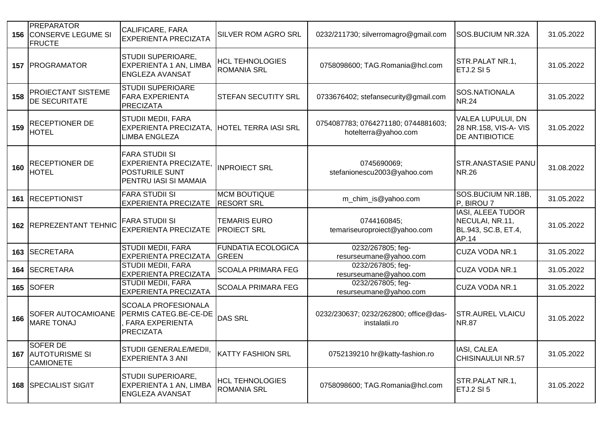|     | <b>PREPARATOR</b><br><b>156 CONSERVE LEGUME SI</b><br><b>FRUCTE</b> | CALIFICARE, FARA<br><b>EXPERIENTA PRECIZATA</b>                                                         | <b>SILVER ROM AGRO SRL</b>                   | 0232/211730; silverromagro@gmail.com                        | <b>SOS.BUCIUM NR.32A</b>                                                   | 31.05.2022 |
|-----|---------------------------------------------------------------------|---------------------------------------------------------------------------------------------------------|----------------------------------------------|-------------------------------------------------------------|----------------------------------------------------------------------------|------------|
| 157 | PROGRAMATOR                                                         | <b>STUDII SUPERIOARE,</b><br>EXPERIENTA 1 AN, LIMBA<br><b>ENGLEZA AVANSAT</b>                           | <b>HCL TEHNOLOGIES</b><br><b>ROMANIA SRL</b> | 0758098600; TAG.Romania@hcl.com                             | STR.PALAT NR.1,<br><b>ETJ.2 SI 5</b>                                       | 31.05.2022 |
| 158 | PROIECTANT SISTEME<br>DE SECURITATE                                 | <b>STUDII SUPERIOARE</b><br><b>FARA EXPERIENTA</b><br>PRECIZATA                                         | <b>STEFAN SECUTITY SRL</b>                   | 0733676402; stefansecurity@gmail.com                        | SOS.NATIONALA<br><b>NR.24</b>                                              | 31.05.2022 |
| 159 | <b>RECEPTIONER DE</b><br><b>HOTEL</b>                               | <b>STUDII MEDII, FARA</b><br><b>EXPERIENTA PRECIZATA,</b><br>LIMBA ENGLEZA                              | <b>HOTEL TERRA IASI SRL</b>                  | 0754087783; 0764271180; 0744881603;<br>hotelterra@yahoo.com | <b>VALEA LUPULUI, DN</b><br>28 NR.158, VIS-A- VIS<br><b>DE ANTIBIOTICE</b> | 31.05.2022 |
| 160 | RECEPTIONER DE<br>HOTEL                                             | <b>FARA STUDII SI</b><br><b>EXPERIENTA PRECIZATE,</b><br><b>POSTURILE SUNT</b><br>PENTRU IASI SI MAMAIA | <b>INPROIECT SRL</b>                         | 0745690069;<br>stefanionescu2003@yahoo.com                  | <b>STR.ANASTASIE PANU</b><br><b>NR.26</b>                                  | 31.08.2022 |
| 161 | <b>RECEPTIONIST</b>                                                 | <b>FARA STUDII SI</b><br><b>EXPERIENTA PRECIZATE</b>                                                    | <b>MCM BOUTIQUE</b><br><b>RESORT SRL</b>     | m_chim_is@yahoo.com                                         | SOS.BUCIUM NR.18B,<br>P, BIROU 7                                           | 31.05.2022 |
|     | 162 REPREZENTANT TEHNIC                                             | <b>FARA STUDII SI</b><br><b>EXPERIENTA PRECIZATE</b>                                                    | <b>TEMARIS EURO</b><br><b>PROIECT SRL</b>    | 0744160845;<br>temariseuroproiect@yahoo.com                 | IASI, ALEEA TUDOR<br>NECULAI, NR.11,<br>BL.943, SC.B, ET.4,<br>AP.14       | 31.05.2022 |
| 163 | <b>SECRETARA</b>                                                    | <b>STUDII MEDII, FARA</b><br><b>EXPERIENTA PRECIZATA</b>                                                | <b>FUNDATIA ECOLOGICA</b><br><b>GREEN</b>    | 0232/267805; feg-<br>resurseumane@yahoo.com                 | <b>CUZA VODA NR.1</b>                                                      | 31.05.2022 |
| 164 | <b>SECRETARA</b>                                                    | <b>STUDII MEDII, FARA</b><br><b>EXPERIENTA PRECIZATA</b>                                                | <b>SCOALA PRIMARA FEG</b>                    | 0232/267805; feg-<br>resurseumane@yahoo.com                 | <b>CUZA VODA NR.1</b>                                                      | 31.05.2022 |
| 165 | <b>SOFER</b>                                                        | <b>STUDII MEDII, FARA</b><br><b>EXPERIENTA PRECIZATA</b>                                                | <b>SCOALA PRIMARA FEG</b>                    | 0232/267805; feg-<br>resurseumane@yahoo.com                 | <b>CUZA VODA NR.1</b>                                                      | 31.05.2022 |
| 166 | SOFER AUTOCAMIOANE<br><b>MARE TONAJ</b>                             | <b>SCOALA PROFESIONALA</b><br>PERMIS CATEG.BE-CE-DE<br><b>FARA EXPERIENTA</b><br>PRECIZATA              | <b>DAS SRL</b>                               | 0232/230637; 0232/262800; office@das-<br>instalatii.ro      | <b>STR.AUREL VLAICU</b><br><b>NR.87</b>                                    | 31.05.2022 |
|     | <b>SOFER DE</b><br><b>167 AUTOTURISME SI</b><br><b>CAMIONETE</b>    | STUDII GENERALE/MEDII, KATTY FASHION SRL<br><b>EXPERIENTA 3 ANI</b>                                     |                                              | 0752139210 hr@katty-fashion.ro                              | IASI, CALEA<br><b>CHISINAULUI NR.57</b>                                    | 31.05.2022 |
|     | 168 SPECIALIST SIG/IT                                               | STUDII SUPERIOARE,<br>EXPERIENTA 1 AN, LIMBA<br><b>ENGLEZA AVANSAT</b>                                  | <b>HCL TEHNOLOGIES</b><br><b>ROMANIA SRL</b> | 0758098600; TAG.Romania@hcl.com                             | STR.PALAT NR.1,<br><b>ETJ.2 SI 5</b>                                       | 31.05.2022 |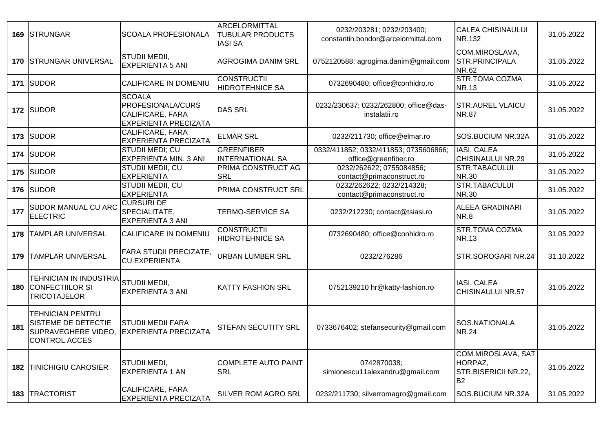|     | 169 STRUNGAR                                                                                  | <b>SCOALA PROFESIONALA</b>                                                                          | <b>ARCELORMITTAL</b><br><b>TUBULAR PRODUCTS</b><br><b>IASI SA</b> | 0232/203281; 0232/203400;<br>constantin.bondor@arcelormittal.com | <b>CALEA CHISINAULUI</b><br>NR.132                                      | 31.05.2022 |
|-----|-----------------------------------------------------------------------------------------------|-----------------------------------------------------------------------------------------------------|-------------------------------------------------------------------|------------------------------------------------------------------|-------------------------------------------------------------------------|------------|
|     | 170 STRUNGAR UNIVERSAL                                                                        | <b>STUDII MEDII,</b><br><b>EXPERIENTA 5 ANI</b>                                                     | <b>AGROGIMA DANIM SRL</b>                                         | 0752120588; agrogima.danim@gmail.com                             | COM.MIROSLAVA,<br><b>STR.PRINCIPALA</b><br><b>NR.62</b>                 | 31.05.2022 |
| 171 | <b>SUDOR</b>                                                                                  | CALIFICARE IN DOMENIU                                                                               | <b>CONSTRUCTII</b><br><b>HIDROTEHNICE SA</b>                      | 0732690480; office@conhidro.ro                                   | <b>STR.TOMA COZMA</b><br><b>NR.13</b>                                   | 31.05.2022 |
|     | 172 SUDOR                                                                                     | <b>SCOALA</b><br><b>PROFESIONALA/CURS</b><br><b>CALIFICARE, FARA</b><br><b>EXPERIENTA PRECIZATA</b> | <b>DAS SRL</b>                                                    | 0232/230637; 0232/262800; office@das-<br>instalatii.ro           | <b>STR.AUREL VLAICU</b><br><b>NR.87</b>                                 | 31.05.2022 |
| 173 | <b>SUDOR</b>                                                                                  | <b>CALIFICARE, FARA</b><br><b>EXPERIENTA PRECIZATA</b>                                              | <b>ELMAR SRL</b>                                                  | 0232/211730; office@elmar.ro                                     | SOS.BUCIUM NR.32A                                                       | 31.05.2022 |
| 174 | <b>SUDOR</b>                                                                                  | STUDII MEDI; CU<br>EXPERIENTA MIN. 3 ANI                                                            | GREENFIBER<br><b>INTERNATIONAL SA</b>                             | 0332/411852; 0332/411853; 0735606866;<br>office@greenfiber.ro    | IASI, CALEA<br>CHISINAULUI NR.29                                        | 31.05.2022 |
|     | 175 SUDOR                                                                                     | STUDII MEDII, CU<br><b>EXPERIENTA</b>                                                               | PRIMA CONSTRUCT AG<br><b>SRL</b>                                  | 0232/262622; 0755084856;<br>contact@primaconstruct.ro            | STR.TABACULUI<br><b>NR.30</b>                                           | 31.05.2022 |
|     | 176 SUDOR                                                                                     | STUDII MEDII, CU<br><b>EXPERIENTA</b>                                                               | PRIMA CONSTRUCT SRL                                               | 0232/262622; 0232/214328;<br>contact@primaconstruct.ro           | STR.TABACULUI<br><b>NR.30</b>                                           | 31.05.2022 |
| 177 | SUDOR MANUAL CU ARC<br><b>ELECTRIC</b>                                                        | <b>CURSURI DE</b><br>SPECIALITATE,<br><b>EXPERIENTA 3 ANI</b>                                       | <b>TERMO-SERVICE SA</b>                                           | 0232/212230; contact@tsiasi.ro                                   | <b>ALEEA GRADINARI</b><br><b>NR.8</b>                                   | 31.05.2022 |
| 178 | <b>TAMPLAR UNIVERSAL</b>                                                                      | CALIFICARE IN DOMENIU                                                                               | <b>CONSTRUCTII</b><br><b>HIDROTEHNICE SA</b>                      | 0732690480; office@conhidro.ro                                   | <b>STR.TOMA COZMA</b><br><b>NR.13</b>                                   | 31.05.2022 |
| 179 | TAMPLAR UNIVERSAL                                                                             | <b>FARA STUDII PRECIZATE,</b><br><b>CU EXPERIENTA</b>                                               | <b>URBAN LUMBER SRL</b>                                           | 0232/276286                                                      | STR.SOROGARI NR.24                                                      | 31.10.2022 |
| 180 | TEHNICIAN IN INDUSTRIA<br><b>CONFECTIILOR SI</b><br><b>TRICOTAJELOR</b>                       | STUDII MEDII,<br><b>EXPERIENTA 3 ANI</b>                                                            | <b>KATTY FASHION SRL</b>                                          | 0752139210 hr@katty-fashion.ro                                   | IASI, CALEA<br><b>CHISINAULUI NR.57</b>                                 | 31.05.2022 |
| 181 | TEHNICIAN PENTRU<br><b>SISTEME DE DETECTIE</b><br>SUPRAVEGHERE VIDEO,<br><b>CONTROL ACCES</b> | <b>STUDII MEDII FARA</b><br><b>EXPERIENTA PRECIZATA</b>                                             | <b>STEFAN SECUTITY SRL</b>                                        | 0733676402; stefansecurity@gmail.com                             | SOS.NATIONALA<br><b>NR.24</b>                                           | 31.05.2022 |
| 182 | TINICHIGIU CAROSIER                                                                           | STUDII MEDI,<br><b>EXPERIENTA 1 AN</b>                                                              | COMPLETE AUTO PAINT<br><b>SRL</b>                                 | 0742870038;<br>simionescu11alexandru@gmail.com                   | COM.MIROSLAVA, SAT<br>HORPAZ,<br>STR.BISERICII NR.22,<br>B <sub>2</sub> | 31.05.2022 |
| 183 | <b>TRACTORIST</b>                                                                             | <b>CALIFICARE, FARA</b><br>EXPERIENTA PRECIZATA                                                     | SILVER ROM AGRO SRL                                               | 0232/211730; silverromagro@gmail.com                             | SOS.BUCIUM NR.32A                                                       | 31.05.2022 |